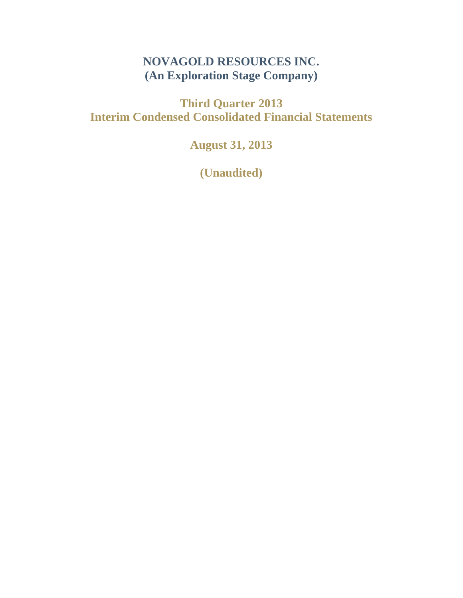# **NOVAGOLD RESOURCES INC. (An Exploration Stage Company)**

**Third Quarter 2013 Interim Condensed Consolidated Financial Statements**

**August 31, 2013**

**(Unaudited)**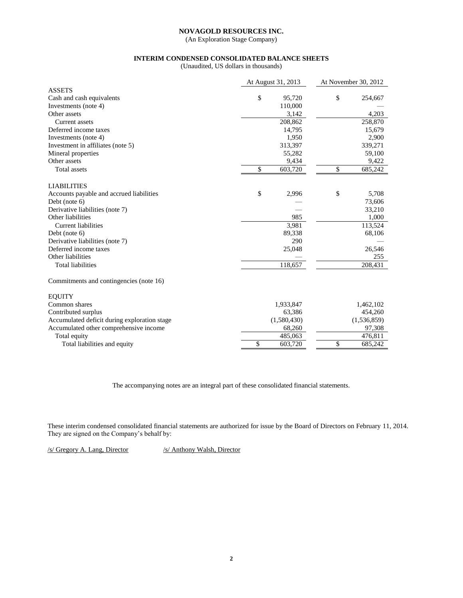(An Exploration Stage Company)

# **INTERIM CONDENSED CONSOLIDATED BALANCE SHEETS**

(Unaudited, US dollars in thousands)

|                                              | At August 31, 2013 |             |              | At November 30, 2012 |
|----------------------------------------------|--------------------|-------------|--------------|----------------------|
| <b>ASSETS</b>                                |                    |             |              |                      |
| Cash and cash equivalents                    | \$                 | 95,720      | $\mathbb{S}$ | 254,667              |
| Investments (note 4)                         |                    | 110,000     |              |                      |
| Other assets                                 |                    | 3,142       |              | 4,203                |
| Current assets                               |                    | 208,862     |              | 258,870              |
| Deferred income taxes                        |                    | 14,795      |              | 15,679               |
| Investments (note 4)                         |                    | 1,950       |              | 2,900                |
| Investment in affiliates (note 5)            |                    | 313,397     |              | 339,271              |
| Mineral properties                           |                    | 55,282      |              | 59,100               |
| Other assets                                 |                    | 9,434       |              | 9,422                |
| <b>Total assets</b>                          | \$                 | 603,720     | \$           | 685,242              |
| <b>LIABILITIES</b>                           |                    |             |              |                      |
| Accounts payable and accrued liabilities     | \$                 | 2,996       | \$           | 5,708                |
| Debt (note 6)                                |                    |             |              | 73,606               |
| Derivative liabilities (note 7)              |                    |             |              | 33,210               |
| Other liabilities                            |                    | 985         |              | 1,000                |
| <b>Current liabilities</b>                   |                    | 3,981       |              | 113,524              |
| Debt (note 6)                                |                    | 89,338      |              | 68,106               |
| Derivative liabilities (note 7)              |                    | 290         |              |                      |
| Deferred income taxes                        |                    | 25,048      |              | 26,546               |
| Other liabilities                            |                    |             |              | 255                  |
| <b>Total liabilities</b>                     |                    | 118,657     |              | 208,431              |
| Commitments and contingencies (note 16)      |                    |             |              |                      |
| <b>EQUITY</b>                                |                    |             |              |                      |
| Common shares                                |                    | 1,933,847   |              | 1,462,102            |
| Contributed surplus                          |                    | 63,386      |              | 454,260              |
| Accumulated deficit during exploration stage |                    | (1,580,430) |              | (1,536,859)          |
| Accumulated other comprehensive income       |                    | 68,260      |              | 97,308               |
| Total equity                                 |                    | 485,063     |              | 476,811              |
| Total liabilities and equity                 | \$                 | 603,720     | \$           | 685,242              |

The accompanying notes are an integral part of these consolidated financial statements.

These interim condensed consolidated financial statements are authorized for issue by the Board of Directors on February 11, 2014. They are signed on the Company's behalf by:

/s/ Gregory A. Lang, Director /s/ Anthony Walsh, Director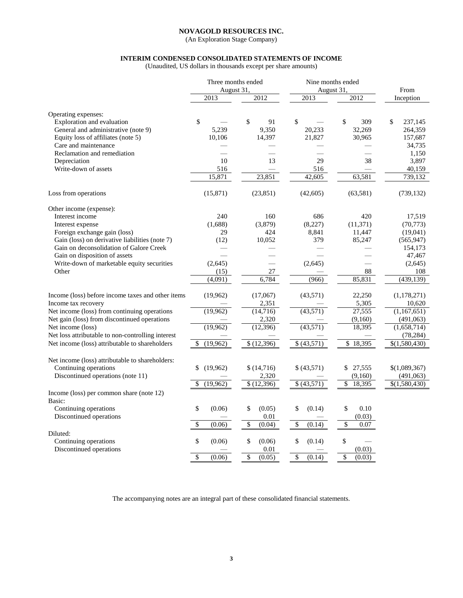(An Exploration Stage Company)

# **INTERIM CONDENSED CONSOLIDATED STATEMENTS OF INCOME**

(Unaudited, US dollars in thousands except per share amounts)

|                                                   | Three months ended<br>August 31, |                        | Nine months ended<br>August 31, | From                     |               |
|---------------------------------------------------|----------------------------------|------------------------|---------------------------------|--------------------------|---------------|
|                                                   | 2013                             | 2012                   | $\overline{2013}$               | 2012                     | Inception     |
|                                                   |                                  |                        |                                 |                          |               |
| Operating expenses:                               |                                  |                        |                                 |                          |               |
| Exploration and evaluation                        | \$                               | \$<br>91               | \$                              | \$<br>309                | \$<br>237,145 |
| General and administrative (note 9)               | 5,239                            | 9,350                  | 20,233                          | 32,269                   | 264,359       |
| Equity loss of affiliates (note 5)                | 10,106                           | 14,397                 | 21,827                          | 30,965                   | 157,687       |
| Care and maintenance                              |                                  |                        |                                 |                          | 34,735        |
| Reclamation and remediation                       |                                  |                        |                                 |                          | 1,150         |
| Depreciation                                      | 10                               | 13                     | 29                              | 38                       | 3,897         |
| Write-down of assets                              | 516                              |                        | 516                             |                          | 40,159        |
|                                                   | 15,871                           | 23,851                 | 42,605                          | 63,581                   | 739,132       |
| Loss from operations                              | (15, 871)                        | (23, 851)              | (42, 605)                       | (63, 581)                | (739, 132)    |
| Other income (expense):                           |                                  |                        |                                 |                          |               |
| Interest income                                   | 240                              | 160                    | 686                             | 420                      | 17,519        |
| Interest expense                                  | (1,688)                          | (3,879)                | (8,227)                         | (11, 371)                | (70, 773)     |
| Foreign exchange gain (loss)                      | 29                               | 424                    | 8,841                           | 11,447                   | (19,041)      |
| Gain (loss) on derivative liabilities (note 7)    | (12)                             | 10,052                 | 379                             | 85,247                   | (565, 947)    |
| Gain on deconsolidation of Galore Creek           |                                  |                        |                                 |                          | 154,173       |
| Gain on disposition of assets                     |                                  |                        |                                 |                          | 47,467        |
| Write-down of marketable equity securities        | (2,645)                          |                        | (2,645)                         | $\overline{\phantom{0}}$ | (2,645)       |
| Other                                             | (15)                             | $27\,$                 |                                 | $88\,$                   | 108           |
|                                                   | (4,091)                          | 6,784                  | (966)                           | 85,831                   | (439, 139)    |
| Income (loss) before income taxes and other items | (19,962)                         | (17,067)               | (43,571)                        | 22,250                   | (1,178,271)   |
| Income tax recovery                               |                                  | 2,351                  |                                 | 5,305                    | 10,620        |
| Net income (loss) from continuing operations      | (19,962)                         | (14,716)               | (43,571)                        | 27,555                   | (1,167,651)   |
| Net gain (loss) from discontinued operations      |                                  | 2,320                  |                                 | (9,160)                  | (491,063)     |
| Net income (loss)                                 | (19,962)                         | (12, 396)              | (43, 571)                       | 18,395                   | (1,658,714)   |
| Net loss attributable to non-controlling interest |                                  |                        |                                 |                          | (78, 284)     |
| Net income (loss) attributable to shareholders    | (19,962)<br>\$                   | \$(12,396)             | \$ (43,571)                     | \$18,395                 | \$(1,580,430) |
| Net income (loss) attributable to shareholders:   |                                  |                        |                                 |                          |               |
| Continuing operations                             | \$<br>(19,962)                   | \$(14,716)             | \$ (43,571)                     | \$<br>27,555             | \$(1,089,367) |
| Discontinued operations (note 11)                 |                                  | 2,320                  |                                 | (9,160)                  | (491,063)     |
|                                                   | \$<br>(19,962)                   | $\overline{$(12,396)}$ | \$(43,571)                      | \$<br>18,395             | \$(1,580,430) |
| Income (loss) per common share (note 12)          |                                  |                        |                                 |                          |               |
| Basic:                                            |                                  |                        |                                 |                          |               |
| Continuing operations                             | \$<br>(0.06)                     | \$<br>(0.05)           | \$<br>(0.14)                    | \$<br>0.10               |               |
| Discontinued operations                           |                                  | 0.01                   |                                 | (0.03)                   |               |
|                                                   | \$<br>(0.06)                     | \$<br>(0.04)           | \$<br>(0.14)                    | \$<br>0.07               |               |
| Diluted:                                          |                                  |                        |                                 |                          |               |
| Continuing operations                             | \$<br>(0.06)                     | \$<br>(0.06)           | \$<br>(0.14)                    | \$                       |               |
| Discontinued operations                           |                                  | 0.01                   |                                 | (0.03)                   |               |
|                                                   | \$<br>(0.06)                     | \$<br>(0.05)           | \$<br>(0.14)                    | \$<br>(0.03)             |               |
|                                                   |                                  |                        |                                 |                          |               |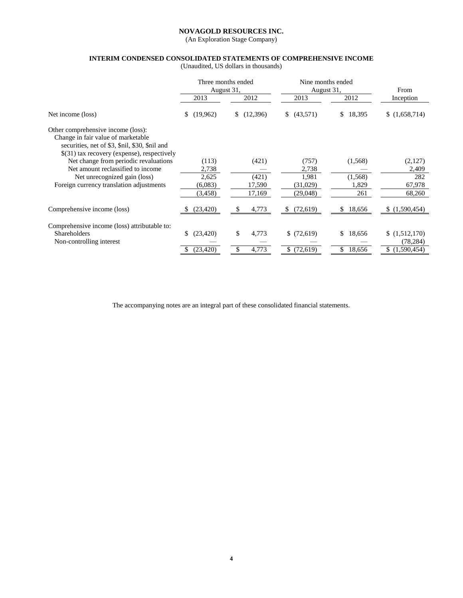(An Exploration Stage Company)

# **INTERIM CONDENSED CONSOLIDATED STATEMENTS OF COMPREHENSIVE INCOME**

(Unaudited, US dollars in thousands)

|                                                                                                                                                                           | Three months ended<br>August 31, |                | Nine months ended<br>August 31, |              | From          |  |
|---------------------------------------------------------------------------------------------------------------------------------------------------------------------------|----------------------------------|----------------|---------------------------------|--------------|---------------|--|
|                                                                                                                                                                           | 2013                             | 2012           | 2013                            | 2012         | Inception     |  |
| Net income (loss)                                                                                                                                                         | \$<br>(19,962)                   | (12,396)<br>\$ | (43,571)<br>S.                  | \$<br>18,395 | \$(1,658,714) |  |
| Other comprehensive income (loss):<br>Change in fair value of marketable<br>securities, net of \$3, \$nil, \$30, \$nil and<br>\$(31) tax recovery (expense), respectively |                                  |                |                                 |              |               |  |
| Net change from periodic revaluations                                                                                                                                     | (113)                            | (421)          | (757)                           | (1,568)      | (2,127)       |  |
| Net amount reclassified to income                                                                                                                                         | 2,738                            |                | 2,738                           |              | 2,409         |  |
| Net unrecognized gain (loss)                                                                                                                                              | 2,625                            | (421)          | 1,981                           | (1,568)      | 282           |  |
| Foreign currency translation adjustments                                                                                                                                  | (6,083)                          | 17,590         | (31,029)                        | 1,829        | 67,978        |  |
|                                                                                                                                                                           | (3, 458)                         | 17,169         | (29, 048)                       | 261          | 68,260        |  |
| Comprehensive income (loss)                                                                                                                                               | (23, 420)                        | 4,773          | (72, 619)<br>S                  | 18,656       | (1,590,454)   |  |
| Comprehensive income (loss) attributable to:                                                                                                                              |                                  |                |                                 |              |               |  |
| Shareholders                                                                                                                                                              | (23, 420)<br>\$                  | \$<br>4,773    | \$(72,619)                      | 18,656<br>\$ | (1,512,170)   |  |
| Non-controlling interest                                                                                                                                                  |                                  |                |                                 |              | (78, 284)     |  |
|                                                                                                                                                                           | (23, 420)<br>S                   | 4,773          | \$(72,619)                      | \$<br>18,656 | (1,590,454)   |  |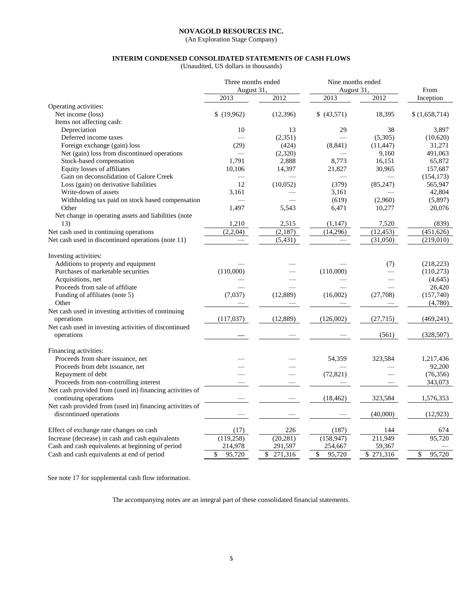(An Exploration Stage Company)

# **INTERIM CONDENSED CONSOLIDATED STATEMENTS OF CASH FLOWS**

(Unaudited, US dollars in thousands)

|                                                          | Three months ended |               | Nine months ended |           |               |
|----------------------------------------------------------|--------------------|---------------|-------------------|-----------|---------------|
|                                                          | August 31,         |               | August 31,        |           | From          |
|                                                          | 2013               | 2012          | 2013              | 2012      | Inception     |
| Operating activities:                                    |                    |               |                   |           |               |
| Net income (loss)                                        | \$(19,962)         | (12, 396)     | \$ (43,571)       | 18,395    | \$(1,658,714) |
| Items not affecting cash:                                |                    |               |                   |           |               |
| Depreciation                                             | 10                 | 13            | 29                | 38        | 3,897         |
| Deferred income taxes                                    |                    | (2, 351)      |                   | (5,305)   | (10,620)      |
| Foreign exchange (gain) loss                             | (29)               | (424)         | (8, 841)          | (11, 447) | 31,271        |
| Net (gain) loss from discontinued operations             |                    | (2,320)       |                   | 9,160     | 491,063       |
| Stock-based compensation                                 | 1,791              | 2,888         | 8,773             | 16,151    | 65,872        |
| Equity losses of affiliates                              | 10,106             | 14,397        | 21,827            | 30,965    | 157,687       |
| Gain on deconsolidation of Galore Creek                  |                    |               |                   |           | (154, 173)    |
| Loss (gain) on derivative liabilities                    | 12                 | (10,052)      | (379)             | (85,247)  | 565,947       |
| Write-down of assets                                     | 3,161              |               | 3,161             |           | 42,804        |
| Withholding tax paid on stock based compensation         |                    |               | (619)             | (2,960)   | (5,897)       |
| Other                                                    | 1,497              | 5,543         | 6,471             | 10,277    | 20,076        |
| Net change in operating assets and liabilities (note     |                    |               |                   |           |               |
| 13)                                                      | 1,210              | 2,515         | (1, 147)          | 7,520     | (839)         |
| Net cash used in continuing operations                   | (2,2,04)           | (2,187)       | (14,296)          | (12, 453) | (451, 626)    |
| Net cash used in discontinued operations (note 11)       |                    | (5, 431)      |                   | (31,050)  | (219,010)     |
|                                                          |                    |               |                   |           |               |
| Investing activities:                                    |                    |               |                   |           |               |
| Additions to property and equipment                      |                    |               |                   | (7)       | (218, 223)    |
| Purchases of marketable securities                       | (110,000)          |               | (110,000)         |           | (110, 273)    |
| Acquisitions, net                                        |                    |               |                   |           | (4, 645)      |
| Proceeds from sale of affiliate                          |                    |               |                   |           | 26,420        |
| Funding of affiliates (note 5)                           | (7,037)            | (12, 889)     | (16,002)          | (27,708)  | (157,740)     |
| Other                                                    |                    |               |                   |           | (4,780)       |
| Net cash used in investing activities of continuing      |                    |               |                   |           |               |
| operations                                               | (117,037)          | (12,889)      | (126,002)         | (27, 715) | (469, 241)    |
| Net cash used in investing activities of discontinued    |                    |               |                   |           |               |
| operations                                               |                    |               |                   | (561)     | (328, 507)    |
|                                                          |                    |               |                   |           |               |
| Financing activities:                                    |                    |               |                   |           |               |
| Proceeds from share issuance, net                        |                    |               | 54,359            | 323,584   | 1,217,436     |
| Proceeds from debt issuance, net                         |                    |               |                   |           | 92,200        |
| Repayment of debt                                        |                    |               | (72, 821)         |           | (76, 356)     |
| Proceeds from non-controlling interest                   |                    |               |                   |           | 343,073       |
| Net cash provided from (used in) financing activities of |                    |               |                   |           |               |
| continuing operations                                    |                    |               | (18, 462)         | 323,584   | 1,576,353     |
| Net cash provided from (used in) financing activities of |                    |               |                   |           |               |
| discontinued operations                                  |                    |               |                   | (40,000)  | (12, 923)     |
|                                                          |                    |               |                   |           |               |
| Effect of exchange rate changes on cash                  | (17)               | 226           | (187)             | 144       | 674           |
| Increase (decrease) in cash and cash equivalents         | (119,258)          | (20, 281)     | (158, 947)        | 211,949   | 95.720        |
| Cash and cash equivalents at beginning of period         | 214,978            | 291,597       | 254,667           | 59,367    |               |
| Cash and cash equivalents at end of period               | \$<br>95,720       | 271,316<br>\$ | \$<br>95,720      | \$271,316 | 95,720<br>\$  |
|                                                          |                    |               |                   |           |               |

See note 17 for supplemental cash flow information.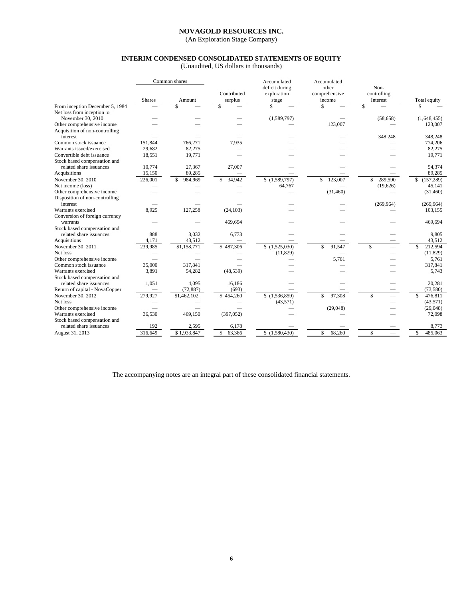(An Exploration Stage Company)

# **INTERIM CONDENSED CONSOLIDATED STATEMENTS OF EQUITY**

(Unaudited, US dollars in thousands)

|                                 |               | Common shares  |              | Accumulated          | Accumulated   |                         |               |
|---------------------------------|---------------|----------------|--------------|----------------------|---------------|-------------------------|---------------|
|                                 |               |                |              | deficit during       | other         | Non-                    |               |
|                                 |               |                | Contributed  | exploration          | comprehensive | controlling             |               |
|                                 | <b>Shares</b> | Amount         | surplus      | stage                | income        | Interest                | Total equity  |
| From inception December 5, 1984 |               |                |              | \$                   |               | \$                      |               |
| Net loss from inception to      |               |                |              |                      |               |                         |               |
| November 30, 2010               |               |                |              | (1,589,797)          |               | (58, 658)               | (1,648,455)   |
| Other comprehensive income      |               |                |              |                      | 123,007       |                         | 123,007       |
| Acquisition of non-controlling  |               |                |              |                      |               |                         |               |
| interest                        |               |                |              |                      |               | 348,248                 | 348,248       |
| Common stock issuance           | 151.844       | 766.271        | 7,935        |                      |               |                         | 774,206       |
| Warrants issued/exercised       | 29,682        | 82,275         |              |                      |               |                         | 82,275        |
| Convertible debt issuance       | 18,551        | 19,771         |              |                      |               |                         | 19,771        |
| Stock based compensation and    |               |                |              |                      |               |                         |               |
| related share issuances         | 10,774        | 27,367         | 27,007       |                      |               |                         | 54,374        |
| Acquisitions                    | 15,150        | 89,285         |              |                      |               |                         | 89,285        |
| November 30, 2010               | 226,001       | 984,969<br>\$. | 34,942<br>S. | \$(1,589,797)        | 123,007<br>\$ | 289,590<br>\$           | \$(157,289)   |
| Net income (loss)               |               |                |              | 64,767               |               | (19,626)                | 45,141        |
| Other comprehensive income      |               |                |              |                      | (31, 460)     |                         | (31, 460)     |
| Disposition of non-controlling  |               |                |              |                      |               |                         |               |
| interest                        |               |                |              |                      |               | (269,964)               | (269,964)     |
| Warrants exercised              | 8,925         | 127,258        | (24, 103)    |                      |               |                         | 103,155       |
| Conversion of foreign currency  |               |                |              |                      |               |                         |               |
| warrants                        |               |                | 469,694      |                      |               |                         | 469,694       |
| Stock based compensation and    |               |                |              |                      |               |                         |               |
| related share issuances         | 888           | 3.032          | 6,773        |                      |               |                         | 9,805         |
| Acquisitions                    | 4,171         | 43,512         |              |                      |               |                         | 43,512        |
| November 30, 2011               | 239,985       | \$1,158,771    | \$487,306    | (1,525,030)          | \$<br>91.547  | $\overline{\mathbf{s}}$ | 212,594<br>\$ |
| Net loss                        |               |                |              | (11, 829)            |               |                         | (11, 829)     |
| Other comprehensive income      |               |                |              |                      | 5,761         |                         | 5,761         |
| Common stock issuance           | 35,000        | 317,841        |              |                      |               |                         | 317,841       |
| Warrants exercised              | 3,891         | 54,282         | (48, 539)    |                      |               |                         | 5,743         |
| Stock based compensation and    |               |                |              |                      |               |                         |               |
| related share issuances         | 1,051         | 4,095          | 16,186       |                      |               |                         | 20,281        |
| Return of capital - NovaCopper  |               | (72, 887)      | (693)        |                      |               |                         | (73,580)      |
| November 30, 2012               | 279,927       | \$1,462,102    | \$454,260    | $\sqrt{(1,536,859)}$ | \$<br>97.308  | \$                      | \$<br>476,811 |
| Net loss                        |               |                |              | (43,571)             |               |                         | (43,571)      |
| Other comprehensive income      |               |                |              |                      | (29,048)      |                         | (29,048)      |
| Warrants exercised              | 36,530        | 469,150        | (397, 052)   |                      |               |                         | 72,098        |
| Stock based compensation and    |               |                |              |                      |               |                         |               |
| related share issuances         | 192           | 2,595          | 6,178        |                      |               |                         | 8,773         |
| August 31, 2013                 | 316,649       | \$1,933,847    | \$<br>63,386 | \$(1,580,430)        | \$<br>68,260  | \$                      | \$<br>485,063 |
|                                 |               |                |              |                      |               |                         |               |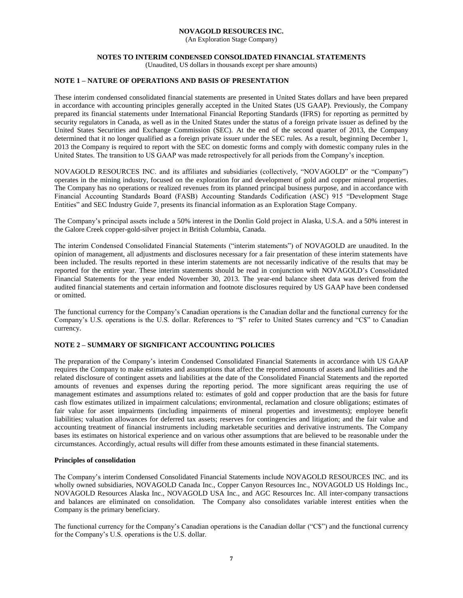(An Exploration Stage Company)

### **NOTES TO INTERIM CONDENSED CONSOLIDATED FINANCIAL STATEMENTS**

(Unaudited, US dollars in thousands except per share amounts)

# **NOTE 1 – NATURE OF OPERATIONS AND BASIS OF PRESENTATION**

These interim condensed consolidated financial statements are presented in United States dollars and have been prepared in accordance with accounting principles generally accepted in the United States (US GAAP). Previously, the Company prepared its financial statements under International Financial Reporting Standards (IFRS) for reporting as permitted by security regulators in Canada, as well as in the United States under the status of a foreign private issuer as defined by the United States Securities and Exchange Commission (SEC). At the end of the second quarter of 2013, the Company determined that it no longer qualified as a foreign private issuer under the SEC rules. As a result, beginning December 1, 2013 the Company is required to report with the SEC on domestic forms and comply with domestic company rules in the United States. The transition to US GAAP was made retrospectively for all periods from the Company's inception.

NOVAGOLD RESOURCES INC. and its affiliates and subsidiaries (collectively, "NOVAGOLD" or the "Company") operates in the mining industry, focused on the exploration for and development of gold and copper mineral properties. The Company has no operations or realized revenues from its planned principal business purpose, and in accordance with Financial Accounting Standards Board (FASB) Accounting Standards Codification (ASC) 915 "Development Stage Entities" and SEC Industry Guide 7, presents its financial information as an Exploration Stage Company.

The Company's principal assets include a 50% interest in the Donlin Gold project in Alaska, U.S.A. and a 50% interest in the Galore Creek copper-gold-silver project in British Columbia, Canada.

The interim Condensed Consolidated Financial Statements ("interim statements") of NOVAGOLD are unaudited. In the opinion of management, all adjustments and disclosures necessary for a fair presentation of these interim statements have been included. The results reported in these interim statements are not necessarily indicative of the results that may be reported for the entire year. These interim statements should be read in conjunction with NOVAGOLD's Consolidated Financial Statements for the year ended November 30, 2013. The year-end balance sheet data was derived from the audited financial statements and certain information and footnote disclosures required by US GAAP have been condensed or omitted.

The functional currency for the Company's Canadian operations is the Canadian dollar and the functional currency for the Company's U.S. operations is the U.S. dollar. References to "\$" refer to United States currency and "C\$" to Canadian currency.

# **NOTE 2 – SUMMARY OF SIGNIFICANT ACCOUNTING POLICIES**

The preparation of the Company's interim Condensed Consolidated Financial Statements in accordance with US GAAP requires the Company to make estimates and assumptions that affect the reported amounts of assets and liabilities and the related disclosure of contingent assets and liabilities at the date of the Consolidated Financial Statements and the reported amounts of revenues and expenses during the reporting period. The more significant areas requiring the use of management estimates and assumptions related to: estimates of gold and copper production that are the basis for future cash flow estimates utilized in impairment calculations; environmental, reclamation and closure obligations; estimates of fair value for asset impairments (including impairments of mineral properties and investments); employee benefit liabilities; valuation allowances for deferred tax assets; reserves for contingencies and litigation; and the fair value and accounting treatment of financial instruments including marketable securities and derivative instruments. The Company bases its estimates on historical experience and on various other assumptions that are believed to be reasonable under the circumstances. Accordingly, actual results will differ from these amounts estimated in these financial statements.

### **Principles of consolidation**

The Company's interim Condensed Consolidated Financial Statements include NOVAGOLD RESOURCES INC. and its wholly owned subsidiaries, NOVAGOLD Canada Inc., Copper Canyon Resources Inc., NOVAGOLD US Holdings Inc., NOVAGOLD Resources Alaska Inc., NOVAGOLD USA Inc., and AGC Resources Inc. All inter-company transactions and balances are eliminated on consolidation. The Company also consolidates variable interest entities when the Company is the primary beneficiary.

The functional currency for the Company's Canadian operations is the Canadian dollar ("C\$") and the functional currency for the Company's U.S. operations is the U.S. dollar.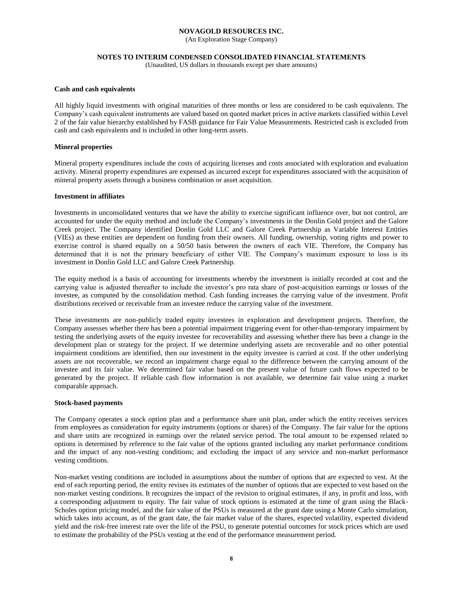(An Exploration Stage Company)

### **NOTES TO INTERIM CONDENSED CONSOLIDATED FINANCIAL STATEMENTS**

(Unaudited, US dollars in thousands except per share amounts)

### **Cash and cash equivalents**

All highly liquid investments with original maturities of three months or less are considered to be cash equivalents. The Company's cash equivalent instruments are valued based on quoted market prices in active markets classified within Level 2 of the fair value hierarchy established by FASB guidance for Fair Value Measurements. Restricted cash is excluded from cash and cash equivalents and is included in other long-term assets.

### **Mineral properties**

Mineral property expenditures include the costs of acquiring licenses and costs associated with exploration and evaluation activity. Mineral property expenditures are expensed as incurred except for expenditures associated with the acquisition of mineral property assets through a business combination or asset acquisition.

### **Investment in affiliates**

Investments in unconsolidated ventures that we have the ability to exercise significant influence over, but not control, are accounted for under the equity method and include the Company's investments in the Donlin Gold project and the Galore Creek project. The Company identified Donlin Gold LLC and Galore Creek Partnership as Variable Interest Entities (VIEs) as these entities are dependent on funding from their owners. All funding, ownership, voting rights and power to exercise control is shared equally on a 50/50 basis between the owners of each VIE. Therefore, the Company has determined that it is not the primary beneficiary of either VIE. The Company's maximum exposure to loss is its investment in Donlin Gold LLC and Galore Creek Partnership.

The equity method is a basis of accounting for investments whereby the investment is initially recorded at cost and the carrying value is adjusted thereafter to include the investor's pro rata share of post-acquisition earnings or losses of the investee, as computed by the consolidation method. Cash funding increases the carrying value of the investment. Profit distributions received or receivable from an investee reduce the carrying value of the investment.

These investments are non-publicly traded equity investees in exploration and development projects. Therefore, the Company assesses whether there has been a potential impairment triggering event for other-than-temporary impairment by testing the underlying assets of the equity investee for recoverability and assessing whether there has been a change in the development plan or strategy for the project. If we determine underlying assets are recoverable and no other potential impairment conditions are identified, then our investment in the equity investee is carried at cost. If the other underlying assets are not recoverable, we record an impairment charge equal to the difference between the carrying amount of the investee and its fair value. We determined fair value based on the present value of future cash flows expected to be generated by the project. If reliable cash flow information is not available, we determine fair value using a market comparable approach.

### **Stock-based payments**

The Company operates a stock option plan and a performance share unit plan, under which the entity receives services from employees as consideration for equity instruments (options or shares) of the Company. The fair value for the options and share units are recognized in earnings over the related service period. The total amount to be expensed related to options is determined by reference to the fair value of the options granted including any market performance conditions and the impact of any non-vesting conditions; and excluding the impact of any service and non-market performance vesting conditions.

Non-market vesting conditions are included in assumptions about the number of options that are expected to vest. At the end of each reporting period, the entity revises its estimates of the number of options that are expected to vest based on the non-market vesting conditions. It recognizes the impact of the revision to original estimates, if any, in profit and loss, with a corresponding adjustment to equity. The fair value of stock options is estimated at the time of grant using the Black-Scholes option pricing model, and the fair value of the PSUs is measured at the grant date using a Monte Carlo simulation, which takes into account, as of the grant date, the fair market value of the shares, expected volatility, expected dividend yield and the risk‐free interest rate over the life of the PSU, to generate potential outcomes for stock prices which are used to estimate the probability of the PSUs vesting at the end of the performance measurement period.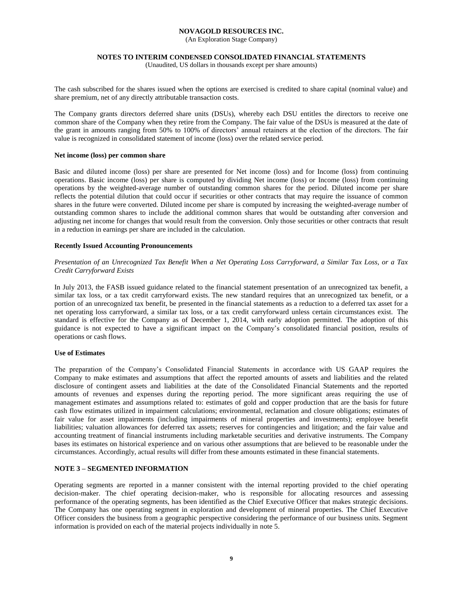(An Exploration Stage Company)

### **NOTES TO INTERIM CONDENSED CONSOLIDATED FINANCIAL STATEMENTS**

(Unaudited, US dollars in thousands except per share amounts)

The cash subscribed for the shares issued when the options are exercised is credited to share capital (nominal value) and share premium, net of any directly attributable transaction costs.

The Company grants directors deferred share units (DSUs), whereby each DSU entitles the directors to receive one common share of the Company when they retire from the Company. The fair value of the DSUs is measured at the date of the grant in amounts ranging from 50% to 100% of directors' annual retainers at the election of the directors. The fair value is recognized in consolidated statement of income (loss) over the related service period.

### **Net income (loss) per common share**

Basic and diluted income (loss) per share are presented for Net income (loss) and for Income (loss) from continuing operations. Basic income (loss) per share is computed by dividing Net income (loss) or Income (loss) from continuing operations by the weighted-average number of outstanding common shares for the period. Diluted income per share reflects the potential dilution that could occur if securities or other contracts that may require the issuance of common shares in the future were converted. Diluted income per share is computed by increasing the weighted-average number of outstanding common shares to include the additional common shares that would be outstanding after conversion and adjusting net income for changes that would result from the conversion. Only those securities or other contracts that result in a reduction in earnings per share are included in the calculation.

### **Recently Issued Accounting Pronouncements**

# *Presentation of an Unrecognized Tax Benefit When a Net Operating Loss Carryforward, a Similar Tax Loss, or a Tax Credit Carryforward Exists*

In July 2013, the FASB issued guidance related to the financial statement presentation of an unrecognized tax benefit, a similar tax loss, or a tax credit carryforward exists. The new standard requires that an unrecognized tax benefit, or a portion of an unrecognized tax benefit, be presented in the financial statements as a reduction to a deferred tax asset for a net operating loss carryforward, a similar tax loss, or a tax credit carryforward unless certain circumstances exist. The standard is effective for the Company as of December 1, 2014, with early adoption permitted. The adoption of this guidance is not expected to have a significant impact on the Company's consolidated financial position, results of operations or cash flows.

### **Use of Estimates**

The preparation of the Company's Consolidated Financial Statements in accordance with US GAAP requires the Company to make estimates and assumptions that affect the reported amounts of assets and liabilities and the related disclosure of contingent assets and liabilities at the date of the Consolidated Financial Statements and the reported amounts of revenues and expenses during the reporting period. The more significant areas requiring the use of management estimates and assumptions related to: estimates of gold and copper production that are the basis for future cash flow estimates utilized in impairment calculations; environmental, reclamation and closure obligations; estimates of fair value for asset impairments (including impairments of mineral properties and investments); employee benefit liabilities; valuation allowances for deferred tax assets; reserves for contingencies and litigation; and the fair value and accounting treatment of financial instruments including marketable securities and derivative instruments. The Company bases its estimates on historical experience and on various other assumptions that are believed to be reasonable under the circumstances. Accordingly, actual results will differ from these amounts estimated in these financial statements.

### **NOTE 3 – SEGMENTED INFORMATION**

Operating segments are reported in a manner consistent with the internal reporting provided to the chief operating decision-maker. The chief operating decision-maker, who is responsible for allocating resources and assessing performance of the operating segments, has been identified as the Chief Executive Officer that makes strategic decisions. The Company has one operating segment in exploration and development of mineral properties. The Chief Executive Officer considers the business from a geographic perspective considering the performance of our business units. Segment information is provided on each of the material projects individually in note 5.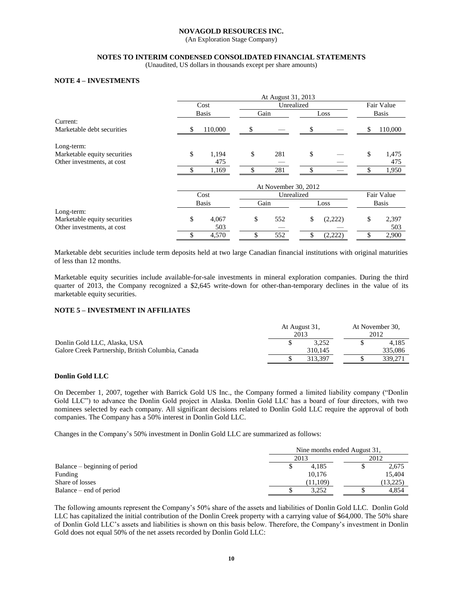(An Exploration Stage Company)

# **NOTES TO INTERIM CONDENSED CONSOLIDATED FINANCIAL STATEMENTS**

(Unaudited, US dollars in thousands except per share amounts)

# **NOTE 4 – INVESTMENTS**

|                              |    |              |      | At August 31, 2013   |               |               |
|------------------------------|----|--------------|------|----------------------|---------------|---------------|
|                              |    | Cost         |      | Unrealized           |               | Fair Value    |
|                              |    | <b>Basis</b> | Gain |                      | Loss          | <b>Basis</b>  |
| Current:                     |    |              |      |                      |               |               |
| Marketable debt securities   | S  | 110,000      | \$   |                      | \$            | \$<br>110,000 |
| Long-term:                   |    |              |      |                      |               |               |
| Marketable equity securities | \$ | 1,194        | \$   | 281                  | \$            | \$<br>1,475   |
| Other investments, at cost   |    | 475          |      |                      |               | 475           |
|                              |    | 1,169        |      | 281                  |               | 1,950         |
|                              |    |              |      | At November 30, 2012 |               |               |
|                              |    | Cost         |      | Unrealized           |               | Fair Value    |
|                              |    | <b>Basis</b> | Gain |                      | Loss          | <b>Basis</b>  |
| Long-term:                   |    |              |      |                      |               |               |
| Marketable equity securities | \$ | 4,067        | \$   | 552                  | \$<br>(2,222) | \$<br>2,397   |
| Other investments, at cost   |    | 503          |      |                      |               | 503           |
|                              | \$ | 4,570        |      | 552                  | \$<br>(2,222) | 2,900         |

Marketable debt securities include term deposits held at two large Canadian financial institutions with original maturities of less than 12 months.

Marketable equity securities include available-for-sale investments in mineral exploration companies. During the third quarter of 2013, the Company recognized a \$2,645 write-down for other-than-temporary declines in the value of its marketable equity securities.

# **NOTE 5 – INVESTMENT IN AFFILIATES**

|                                                    | At August 31,<br>2013 | At November 30,<br>2012 |  |         |
|----------------------------------------------------|-----------------------|-------------------------|--|---------|
| Donlin Gold LLC, Alaska, USA                       |                       | 3.252                   |  | 4.185   |
| Galore Creek Partnership, British Columbia, Canada |                       | 310.145                 |  | 335,086 |
|                                                    |                       | 313.397                 |  | 339.271 |

### **Donlin Gold LLC**

On December 1, 2007, together with Barrick Gold US Inc., the Company formed a limited liability company ("Donlin Gold LLC") to advance the Donlin Gold project in Alaska. Donlin Gold LLC has a board of four directors, with two nominees selected by each company. All significant decisions related to Donlin Gold LLC require the approval of both companies. The Company has a 50% interest in Donlin Gold LLC.

Changes in the Company's 50% investment in Donlin Gold LLC are summarized as follows:

|                               |          | Nine months ended August 31, |          |  |  |
|-------------------------------|----------|------------------------------|----------|--|--|
|                               | 2013     |                              | 2012     |  |  |
| Balance – beginning of period | 4.185    |                              | 2,675    |  |  |
| Funding                       | 10.176   |                              | 15.404   |  |  |
| Share of losses               | (11,109) |                              | (13,225) |  |  |
| Balance – end of period       | 3.252    |                              | 4.854    |  |  |

The following amounts represent the Company's 50% share of the assets and liabilities of Donlin Gold LLC. Donlin Gold LLC has capitalized the initial contribution of the Donlin Creek property with a carrying value of \$64,000. The 50% share of Donlin Gold LLC's assets and liabilities is shown on this basis below. Therefore, the Company's investment in Donlin Gold does not equal 50% of the net assets recorded by Donlin Gold LLC: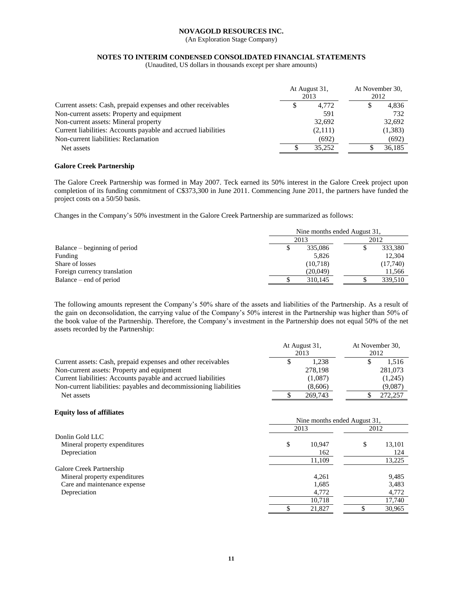(An Exploration Stage Company)

# **NOTES TO INTERIM CONDENSED CONSOLIDATED FINANCIAL STATEMENTS**

(Unaudited, US dollars in thousands except per share amounts)

|                                                               |   | At August 31,<br>2013 | At November 30,<br>2012 |         |  |
|---------------------------------------------------------------|---|-----------------------|-------------------------|---------|--|
| Current assets: Cash, prepaid expenses and other receivables  | S | 4.772                 | S.                      | 4,836   |  |
| Non-current assets: Property and equipment                    |   | 591                   |                         | 732     |  |
| Non-current assets: Mineral property                          |   | 32,692                |                         | 32,692  |  |
| Current liabilities: Accounts payable and accrued liabilities |   | (2,111)               |                         | (1,383) |  |
| Non-current liabilities: Reclamation                          |   | (692)                 |                         | (692)   |  |
| Net assets                                                    |   | 35.252                |                         | 36.185  |  |

# **Galore Creek Partnership**

The Galore Creek Partnership was formed in May 2007. Teck earned its 50% interest in the Galore Creek project upon completion of its funding commitment of C\$373,300 in June 2011. Commencing June 2011, the partners have funded the project costs on a 50/50 basis.

Changes in the Company's 50% investment in the Galore Creek Partnership are summarized as follows:

|                               | Nine months ended August 31, |           |  |      |          |
|-------------------------------|------------------------------|-----------|--|------|----------|
|                               | 2013                         |           |  | 2012 |          |
| Balance – beginning of period |                              | 335,086   |  |      | 333,380  |
| Funding                       |                              | 5.826     |  |      | 12.304   |
| Share of losses               |                              | (10, 718) |  |      | (17,740) |
| Foreign currency translation  |                              | (20,049)  |  |      | 11,566   |
| Balance – end of period       |                              | 310.145   |  |      | 339,510  |

The following amounts represent the Company's 50% share of the assets and liabilities of the Partnership. As a result of the gain on deconsolidation, the carrying value of the Company's 50% interest in the Partnership was higher than 50% of the book value of the Partnership. Therefore, the Company's investment in the Partnership does not equal 50% of the net assets recorded by the Partnership:

|                                                                   |  | At August 31,<br>2013 | At November 30,<br>2012 |  |  |
|-------------------------------------------------------------------|--|-----------------------|-------------------------|--|--|
| Current assets: Cash, prepaid expenses and other receivables      |  | 1.238                 | 1.516                   |  |  |
| Non-current assets: Property and equipment                        |  | 278,198               | 281,073                 |  |  |
| Current liabilities: Accounts payable and accrued liabilities     |  | (1,087)               | (1,245)                 |  |  |
| Non-current liabilities: payables and decommissioning liabilities |  | (8,606)               | (9,087)                 |  |  |
| Net assets                                                        |  | 269,743               | 272,257                 |  |  |

#### **Equity loss of affiliates**

|                               | Nine months ended August 31, |              |  |  |  |
|-------------------------------|------------------------------|--------------|--|--|--|
|                               | 2013                         | 2012         |  |  |  |
| Donlin Gold LLC               |                              |              |  |  |  |
| Mineral property expenditures | \$<br>10,947                 | \$<br>13,101 |  |  |  |
| Depreciation                  | 162                          | 124          |  |  |  |
|                               | 11,109                       | 13,225       |  |  |  |
| Galore Creek Partnership      |                              |              |  |  |  |
| Mineral property expenditures | 4,261                        | 9,485        |  |  |  |
| Care and maintenance expense  | 1,685                        | 3,483        |  |  |  |
| Depreciation                  | 4,772                        | 4,772        |  |  |  |
|                               | 10,718                       | 17,740       |  |  |  |
|                               | 21,827                       | 30,965       |  |  |  |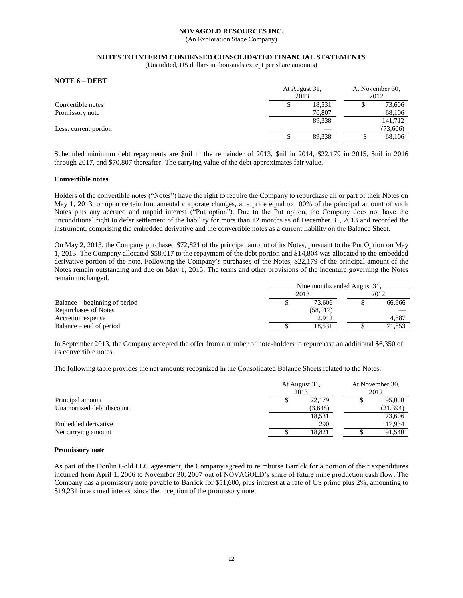(An Exploration Stage Company)

### **NOTES TO INTERIM CONDENSED CONSOLIDATED FINANCIAL STATEMENTS**

(Unaudited, US dollars in thousands except per share amounts)

**NOTE 6 – DEBT**

|                       | At August 31,<br>2013 |        |  | At November 30,<br>2012 |  |
|-----------------------|-----------------------|--------|--|-------------------------|--|
| Convertible notes     |                       | 18,531 |  | 73,606                  |  |
| Promissory note       |                       | 70.807 |  | 68,106                  |  |
|                       |                       | 89,338 |  | 141,712                 |  |
| Less: current portion |                       |        |  | (73,606)                |  |
|                       |                       | 89.338 |  | 68,106                  |  |

Scheduled minimum debt repayments are \$nil in the remainder of 2013, \$nil in 2014, \$22,179 in 2015, \$nil in 2016 through 2017, and \$70,807 thereafter. The carrying value of the debt approximates fair value.

#### **Convertible notes**

Holders of the convertible notes ("Notes") have the right to require the Company to repurchase all or part of their Notes on May 1, 2013, or upon certain fundamental corporate changes, at a price equal to 100% of the principal amount of such Notes plus any accrued and unpaid interest ("Put option"). Due to the Put option, the Company does not have the unconditional right to defer settlement of the liability for more than 12 months as of December 31, 2013 and recorded the instrument, comprising the embedded derivative and the convertible notes as a current liability on the Balance Sheet.

On May 2, 2013, the Company purchased \$72,821 of the principal amount of its Notes, pursuant to the Put Option on May 1, 2013. The Company allocated \$58,017 to the repayment of the debt portion and \$14,804 was allocated to the embedded derivative portion of the note. Following the Company's purchases of the Notes, \$22,179 of the principal amount of the Notes remain outstanding and due on May 1, 2015. The terms and other provisions of the indenture governing the Notes remain unchanged.

|                               | Nine months ended August 31, |  |        |  |  |
|-------------------------------|------------------------------|--|--------|--|--|
|                               | 2013                         |  | 2012   |  |  |
| Balance – beginning of period | 73,606                       |  | 66.966 |  |  |
| <b>Repurchases of Notes</b>   | (58,017)                     |  |        |  |  |
| Accretion expense             | 2.942                        |  | 4.887  |  |  |
| Balance – end of period       | 18.531                       |  | 71,853 |  |  |

In September 2013, the Company accepted the offer from a number of note-holders to repurchase an additional \$6,350 of its convertible notes.

The following table provides the net amounts recognized in the Consolidated Balance Sheets related to the Notes:

|                           | At August 31,<br>2013 | At November 30,<br>2012 |
|---------------------------|-----------------------|-------------------------|
| Principal amount          | 22,179                | 95,000                  |
| Unamortized debt discount | (3,648)               | (21, 394)               |
|                           | 18,531                | 73,606                  |
| Embedded derivative       | 290                   | 17,934                  |
| Net carrying amount       | 18.821                | 91,540                  |

#### **Promissory note**

As part of the Donlin Gold LLC agreement, the Company agreed to reimburse Barrick for a portion of their expenditures incurred from April 1, 2006 to November 30, 2007 out of NOVAGOLD's share of future mine production cash flow. The Company has a promissory note payable to Barrick for \$51,600, plus interest at a rate of US prime plus 2%, amounting to \$19,231 in accrued interest since the inception of the promissory note.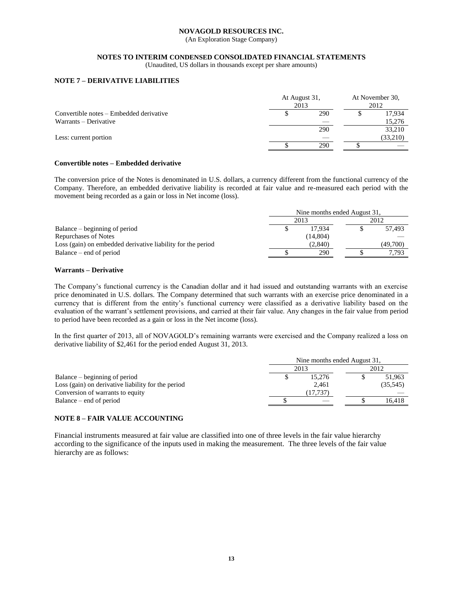(An Exploration Stage Company)

# **NOTES TO INTERIM CONDENSED CONSOLIDATED FINANCIAL STATEMENTS**

(Unaudited, US dollars in thousands except per share amounts)

# **NOTE 7 – DERIVATIVE LIABILITIES**

|                                         | At August 31,<br>2013 |     |  | At November 30,<br>2012 |  |  |
|-----------------------------------------|-----------------------|-----|--|-------------------------|--|--|
| Convertible notes – Embedded derivative |                       | 290 |  | 17,934                  |  |  |
| Warrants – Derivative                   |                       |     |  | 15,276                  |  |  |
|                                         |                       | 290 |  | 33,210                  |  |  |
| Less: current portion                   |                       |     |  | (33,210)                |  |  |
|                                         |                       | 290 |  |                         |  |  |

# **Convertible notes – Embedded derivative**

The conversion price of the Notes is denominated in U.S. dollars, a currency different from the functional currency of the Company. Therefore, an embedded derivative liability is recorded at fair value and re-measured each period with the movement being recorded as a gain or loss in Net income (loss).

|                                                             |      | Nine months ended August 31, |  |          |  |  |
|-------------------------------------------------------------|------|------------------------------|--|----------|--|--|
|                                                             | 2013 | 2012                         |  |          |  |  |
| Balance – beginning of period                               |      | 17.934                       |  | 57.493   |  |  |
| <b>Repurchases of Notes</b>                                 |      | (14, 804)                    |  |          |  |  |
| Loss (gain) on embedded derivative liability for the period |      | (2,840)                      |  | (49.700) |  |  |
| Balance – end of period                                     |      | 290                          |  | 7.793    |  |  |

# **Warrants – Derivative**

The Company's functional currency is the Canadian dollar and it had issued and outstanding warrants with an exercise price denominated in U.S. dollars. The Company determined that such warrants with an exercise price denominated in a currency that is different from the entity's functional currency were classified as a derivative liability based on the evaluation of the warrant's settlement provisions, and carried at their fair value. Any changes in the fair value from period to period have been recorded as a gain or loss in the Net income (loss).

In the first quarter of 2013, all of NOVAGOLD's remaining warrants were exercised and the Company realized a loss on derivative liability of \$2,461 for the period ended August 31, 2013.

|                                                    | Nine months ended August 31, |          |  |           |  |
|----------------------------------------------------|------------------------------|----------|--|-----------|--|
|                                                    |                              | 2013     |  | 2012      |  |
| Balance – beginning of period                      |                              | 15.276   |  | 51.963    |  |
| Loss (gain) on derivative liability for the period |                              | 2.461    |  | (35, 545) |  |
| Conversion of warrants to equity                   |                              | (17.737) |  |           |  |
| Balance – end of period                            |                              |          |  | 16.418    |  |

# **NOTE 8 – FAIR VALUE ACCOUNTING**

Financial instruments measured at fair value are classified into one of three levels in the fair value hierarchy according to the significance of the inputs used in making the measurement. The three levels of the fair value hierarchy are as follows: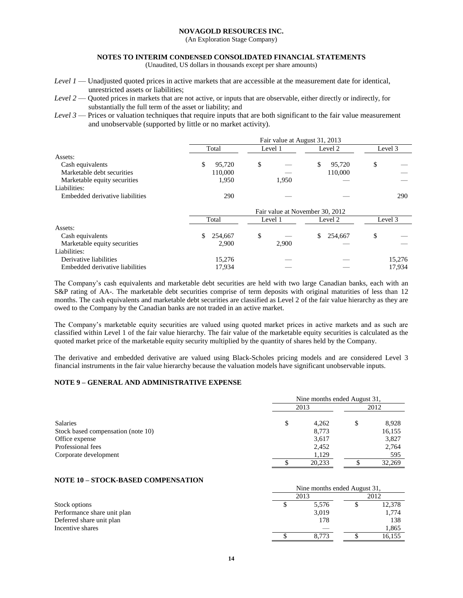(An Exploration Stage Company)

### **NOTES TO INTERIM CONDENSED CONSOLIDATED FINANCIAL STATEMENTS**

(Unaudited, US dollars in thousands except per share amounts)

- *Level 1* Unadjusted quoted prices in active markets that are accessible at the measurement date for identical, unrestricted assets or liabilities;
- *Level 2* Quoted prices in markets that are not active, or inputs that are observable, either directly or indirectly, for substantially the full term of the asset or liability; and
- *Level 3* Prices or valuation techniques that require inputs that are both significant to the fair value measurement and unobservable (supported by little or no market activity).

|                                 | Fair value at August 31, 2013   |         |               |         |  |  |
|---------------------------------|---------------------------------|---------|---------------|---------|--|--|
|                                 | Total                           | Level 1 | Level 2       | Level 3 |  |  |
| Assets:                         |                                 |         |               |         |  |  |
| Cash equivalents                | \$<br>95,720                    | \$      | \$<br>95,720  | \$      |  |  |
| Marketable debt securities      | 110,000                         |         | 110,000       |         |  |  |
| Marketable equity securities    | 1,950                           | 1,950   |               |         |  |  |
| Liabilities:                    |                                 |         |               |         |  |  |
| Embedded derivative liabilities | 290                             |         |               | 290     |  |  |
|                                 | Fair value at November 30, 2012 |         |               |         |  |  |
|                                 | Total                           | Level 1 | Level 2       | Level 3 |  |  |
| Assets:                         |                                 |         |               |         |  |  |
| Cash equivalents                | \$<br>254,667                   | \$      | \$<br>254,667 | \$      |  |  |
| Marketable equity securities    | 2,900                           | 2,900   |               |         |  |  |
| Liabilities:                    |                                 |         |               |         |  |  |
| Derivative liabilities          | 15,276                          |         |               | 15,276  |  |  |
| Embedded derivative liabilities | 17,934                          |         |               | 17,934  |  |  |

The Company's cash equivalents and marketable debt securities are held with two large Canadian banks, each with an S&P rating of AA-. The marketable debt securities comprise of term deposits with original maturities of less than 12 months. The cash equivalents and marketable debt securities are classified as Level 2 of the fair value hierarchy as they are owed to the Company by the Canadian banks are not traded in an active market.

The Company's marketable equity securities are valued using quoted market prices in active markets and as such are classified within Level 1 of the fair value hierarchy. The fair value of the marketable equity securities is calculated as the quoted market price of the marketable equity security multiplied by the quantity of shares held by the Company.

The derivative and embedded derivative are valued using Black-Scholes pricing models and are considered Level 3 financial instruments in the fair value hierarchy because the valuation models have significant unobservable inputs.

# **NOTE 9 – GENERAL AND ADMINISTRATIVE EXPENSE**

|                                    | Nine months ended August 31, |    |        |  |
|------------------------------------|------------------------------|----|--------|--|
|                                    | 2013                         |    | 2012   |  |
| Salaries                           | \$<br>4,262                  | \$ | 8,928  |  |
| Stock based compensation (note 10) | 8,773                        |    | 16,155 |  |
| Office expense                     | 3,617                        |    | 3,827  |  |
| Professional fees                  | 2,452                        |    | 2,764  |  |
| Corporate development              | 1,129                        |    | 595    |  |
|                                    | 20,233                       |    | 32,269 |  |

### **NOTE 10 – STOCK-BASED COMPENSATION**

|                             | $1$ and monthly ended the gast $51$ . |  |        |  |
|-----------------------------|---------------------------------------|--|--------|--|
|                             | 2013                                  |  | 2012   |  |
| Stock options               | 5,576                                 |  | 12,378 |  |
| Performance share unit plan | 3,019                                 |  | 1.774  |  |
| Deferred share unit plan    | 178                                   |  | 138    |  |
| Incentive shares            |                                       |  | 1.865  |  |
|                             | 8.773                                 |  | 16,155 |  |

Nine months ended August 31,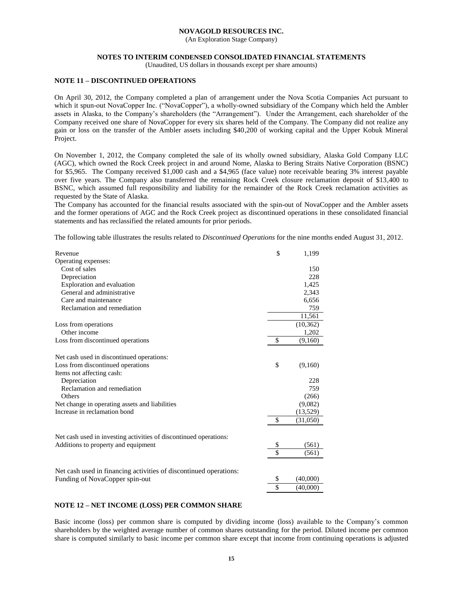(An Exploration Stage Company)

### **NOTES TO INTERIM CONDENSED CONSOLIDATED FINANCIAL STATEMENTS**

(Unaudited, US dollars in thousands except per share amounts)

# **NOTE 11 – DISCONTINUED OPERATIONS**

On April 30, 2012, the Company completed a plan of arrangement under the Nova Scotia Companies Act pursuant to which it spun-out NovaCopper Inc. ("NovaCopper"), a wholly-owned subsidiary of the Company which held the Ambler assets in Alaska, to the Company's shareholders (the "Arrangement"). Under the Arrangement, each shareholder of the Company received one share of NovaCopper for every six shares held of the Company. The Company did not realize any gain or loss on the transfer of the Ambler assets including \$40,200 of working capital and the Upper Kobuk Mineral Project.

On November 1, 2012, the Company completed the sale of its wholly owned subsidiary, Alaska Gold Company LLC (AGC), which owned the Rock Creek project in and around Nome, Alaska to Bering Straits Native Corporation (BSNC) for \$5,965. The Company received \$1,000 cash and a \$4,965 (face value) note receivable bearing 3% interest payable over five years. The Company also transferred the remaining Rock Creek closure reclamation deposit of \$13,400 to BSNC, which assumed full responsibility and liability for the remainder of the Rock Creek reclamation activities as requested by the State of Alaska.

The Company has accounted for the financial results associated with the spin-out of NovaCopper and the Ambler assets and the former operations of AGC and the Rock Creek project as discontinued operations in these consolidated financial statements and has reclassified the related amounts for prior periods.

The following table illustrates the results related to *Discontinued Operations* for the nine months ended August 31, 2012.

| Revenue                                                           | \$<br>1,199    |
|-------------------------------------------------------------------|----------------|
| Operating expenses:                                               |                |
| Cost of sales                                                     | 150            |
| Depreciation                                                      | 228            |
| Exploration and evaluation                                        | 1,425          |
| General and administrative                                        | 2,343          |
| Care and maintenance                                              | 6,656          |
| Reclamation and remediation                                       | 759            |
|                                                                   | 11,561         |
| Loss from operations                                              | (10, 362)      |
| Other income                                                      | 1,202          |
| Loss from discontinued operations                                 | \$<br>(9,160)  |
|                                                                   |                |
| Net cash used in discontinued operations:                         |                |
| Loss from discontinued operations                                 | \$<br>(9,160)  |
| Items not affecting cash:                                         |                |
| Depreciation                                                      | 228            |
| Reclamation and remediation                                       | 759            |
| Others                                                            | (266)          |
| Net change in operating assets and liabilities                    | (9,082)        |
| Increase in reclamation bond                                      | (13,529)       |
|                                                                   | \$<br>(31,050) |
|                                                                   |                |
| Net cash used in investing activities of discontinued operations: |                |
| Additions to property and equipment                               | \$<br>(561)    |
|                                                                   | \$<br>(561)    |
| Net cash used in financing activities of discontinued operations: |                |
| Funding of NovaCopper spin-out                                    | \$<br>(40,000) |
|                                                                   | \$<br>(40,000) |

# **NOTE 12 – NET INCOME (LOSS) PER COMMON SHARE**

Basic income (loss) per common share is computed by dividing income (loss) available to the Company's common shareholders by the weighted average number of common shares outstanding for the period. Diluted income per common share is computed similarly to basic income per common share except that income from continuing operations is adjusted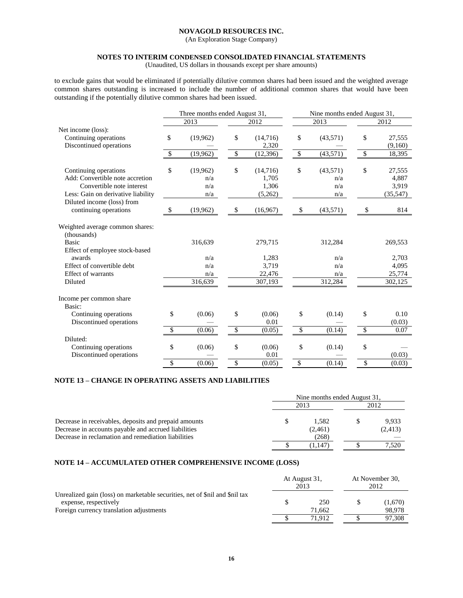(An Exploration Stage Company)

# **NOTES TO INTERIM CONDENSED CONSOLIDATED FINANCIAL STATEMENTS**

(Unaudited, US dollars in thousands except per share amounts)

to exclude gains that would be eliminated if potentially dilutive common shares had been issued and the weighted average common shares outstanding is increased to include the number of additional common shares that would have been outstanding if the potentially dilutive common shares had been issued.

|                                                | Three months ended August 31, |           |    | Nine months ended August 31, |              |           |               |          |
|------------------------------------------------|-------------------------------|-----------|----|------------------------------|--------------|-----------|---------------|----------|
|                                                |                               | 2013      |    | 2012                         |              | 2013      |               | 2012     |
| Net income (loss):                             |                               |           |    |                              |              |           |               |          |
| Continuing operations                          | \$                            | (19,962)  | \$ | (14,716)                     | \$           | (43,571)  | \$            | 27,555   |
| Discontinued operations                        |                               |           |    | 2,320                        |              |           |               | (9,160)  |
|                                                | \$                            | (19, 962) | \$ | (12, 396)                    | \$           | (43, 571) | \$            | 18,395   |
| Continuing operations                          | \$                            | (19,962)  | \$ | (14,716)                     | \$           | (43,571)  | \$            | 27,555   |
| Add: Convertible note accretion                |                               | n/a       |    | 1,705                        |              | n/a       |               | 4,887    |
| Convertible note interest                      |                               | n/a       |    | 1,306                        |              | n/a       |               | 3,919    |
| Less: Gain on derivative liability             |                               | n/a       |    | (5,262)                      |              | n/a       |               | (35,547) |
| Diluted income (loss) from                     |                               |           |    |                              |              |           |               |          |
| continuing operations                          | \$                            | (19,962)  | \$ | (16,967)                     | $\mathbb{S}$ | (43,571)  | S             | 814      |
| Weighted average common shares:<br>(thousands) |                               |           |    |                              |              |           |               |          |
| <b>Basic</b>                                   |                               | 316,639   |    | 279,715                      |              | 312,284   |               | 269,553  |
|                                                |                               |           |    |                              |              |           |               |          |
| Effect of employee stock-based<br>awards       |                               | n/a       |    | 1,283                        |              | n/a       |               | 2,703    |
| Effect of convertible debt                     |                               | n/a       |    | 3,719                        |              | n/a       |               | 4,095    |
| <b>Effect of warrants</b>                      |                               | n/a       |    | 22,476                       |              | n/a       |               | 25,774   |
| Diluted                                        |                               | 316,639   |    | 307,193                      |              | 312,284   |               | 302,125  |
|                                                |                               |           |    |                              |              |           |               |          |
| Income per common share<br>Basic:              |                               |           |    |                              |              |           |               |          |
| Continuing operations                          | \$                            | (0.06)    | \$ | (0.06)                       | \$           | (0.14)    | \$            | 0.10     |
| Discontinued operations                        |                               |           |    | 0.01                         |              |           |               | (0.03)   |
|                                                | $\mathcal{S}$                 | (0.06)    | \$ | (0.05)                       | \$           | (0.14)    | $\mathcal{S}$ | 0.07     |
|                                                |                               |           |    |                              |              |           |               |          |
| Diluted:                                       |                               |           |    |                              |              |           |               |          |
| Continuing operations                          | \$                            | (0.06)    | \$ | (0.06)                       | \$           | (0.14)    | \$            |          |
| Discontinued operations                        |                               |           |    | 0.01                         |              |           |               | (0.03)   |
|                                                | \$                            | (0.06)    | \$ | (0.05)                       | \$           | (0.14)    | \$            | (0.03)   |

# **NOTE 13 – CHANGE IN OPERATING ASSETS AND LIABILITIES**

|                                                       | Nine months ended August 31, |         |  |          |  |
|-------------------------------------------------------|------------------------------|---------|--|----------|--|
|                                                       |                              | 2013    |  | 2012     |  |
| Decrease in receivables, deposits and prepaid amounts |                              | 1.582   |  | 9.933    |  |
| Decrease in accounts payable and accrued liabilities  |                              | (2,461) |  | (2, 413) |  |
| Decrease in reclamation and remediation liabilities   |                              | (268)   |  |          |  |
|                                                       |                              | (1,147  |  | 7,520    |  |

# **NOTE 14 – ACCUMULATED OTHER COMPREHENSIVE INCOME (LOSS)**

|                                                                                                      | At August 31,<br>2013 |        | At November 30,<br>2012 |         |
|------------------------------------------------------------------------------------------------------|-----------------------|--------|-------------------------|---------|
| Unrealized gain (loss) on marketable securities, net of \$nil and \$nil tax<br>expense, respectively |                       | 250    |                         | (1,670) |
| Foreign currency translation adjustments                                                             |                       | 71.662 |                         | 98.978  |
|                                                                                                      |                       | 71.912 |                         | 97.308  |